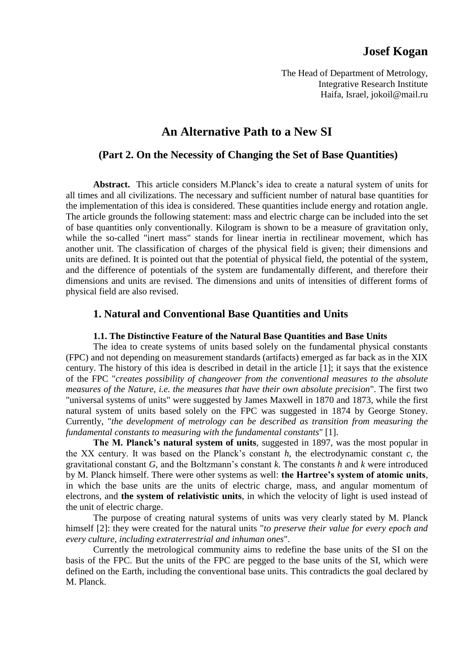# **Josef Kogan**

The Head of Department of Metrology, Integrative Research Institute Haifa, Israel, jokoil@mail.ru

# **An Alternative Path to a New SI**

## **(Part 2. On the Necessity of Changing the Set of Base Quantities)**

**Abstract.** This article considers M.Planck's idea to create a natural system of units for all times and all civilizations. The necessary and sufficient number of natural base quantities for the implementation of this idea is considered. These quantities include energy and rotation angle. The article grounds the following statement: mass and electric charge can be included into the set of base quantities only conventionally. Kilogram is shown to be a measure of gravitation only, while the so-called "inert mass" stands for linear inertia in rectilinear movement, which has another unit. The classification of charges of the physical field is given; their dimensions and units are defined. It is pointed out that the potential of physical field, the potential of the system, and the difference of potentials of the system are fundamentally different, and therefore their dimensions and units are revised. The dimensions and units of intensities of different forms of physical field are also revised.

## **1. Natural and Conventional Base Quantities and Units**

### **1.1. The Distinctive Feature of the Natural Base Quantities and Base Units**

The idea to create systems of units based solely on the fundamental physical constants (FPC) and not depending on measurement standards (artifacts) emerged as far back as in the XIX century. The history of this idea is described in detail in the article [1]; it says that the existence of the FPC "*creates possibility of changeover from the conventional measures to the absolute measures of the Nature, i.e. the measures that have their own absolute precision*". The first two "universal systems of units" were suggested by James Maxwell in 1870 and 1873, while the first natural system of units based solely on the FPC was suggested in 1874 by George Stoney. Currently, "*the development of metrology can be described as transition from measuring the fundamental constants to measuring with the fundamental constants*" [1].

**The M. Planck's natural system of units**, suggested in 1897, was the most popular in the XX century. It was based on the Planck's constant *h*, the electrodynamic constant *c*, the gravitational constant *G,* and the Boltzmann's constant *k*. The constants *h* and *k* were introduced by M. Planck himself. There were other systems as well: **the Hartree's system of atomic units**, in which the base units are the units of electric charge, mass, and angular momentum of electrons, and **the system of relativistic units**, in which the velocity of light is used instead of the unit of electric charge.

The purpose of creating natural systems of units was very clearly stated by M. Planck himself [2]: they were created for the natural units "*to preserve their value for every epoch and every culture, including extraterrestrial and inhuman ones*".

Currently the metrological community aims to redefine the base units of the SI on the basis of the FPC. But the units of the FPC are pegged to the base units of the SI, which were defined on the Earth, including the conventional base units. This contradicts the goal declared by M. Planck.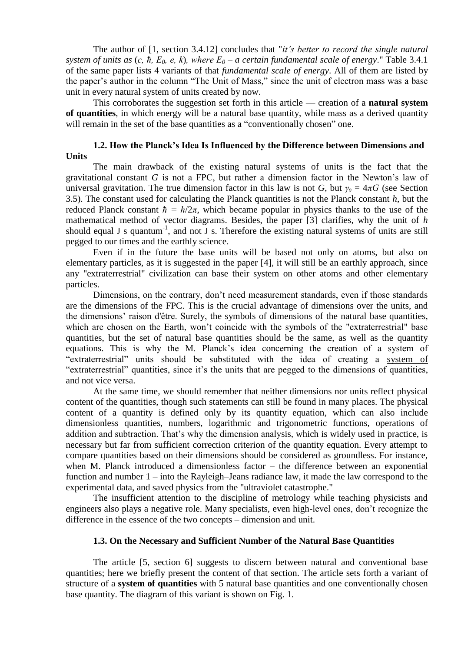The author of [1, section 3.4.12] concludes that "*it's better to record the single natural system of units as*  $(c, h, E_0, e, k)$ *, where*  $E_0 - a$  *certain fundamental scale of energy.*" Table 3.4.1 of the same paper lists 4 variants of that *fundamental scale of energy*. All of them are listed by the paper's author in the column "The Unit of Mass," since the unit of electron mass was a base unit in every natural system of units created by now.

This corroborates the suggestion set forth in this article — creation of a **natural system of quantities**, in which energy will be a natural base quantity, while mass as a derived quantity will remain in the set of the base quantities as a "conventionally chosen" one.

### **1.2. How the Planck's Idea Is Influenced by the Difference between Dimensions and Units**

The main drawback of the existing natural systems of units is the fact that the gravitational constant *G* is not a FPC, but rather a dimension factor in the Newton's law of universal gravitation. The true dimension factor in this law is not *G*, but  $\gamma_0 = 4\pi G$  (see Section 3.5). The constant used for calculating the Planck quantities is not the Planck constant *h*, but the reduced Planck constant  $\hbar = h/2\pi$ , which became popular in physics thanks to the use of the mathematical method of vector diagrams. Besides, the paper [3] clarifies, why the unit of *h* should equal J s quantum<sup>-1</sup>, and not J s. Therefore the existing natural systems of units are still pegged to our times and the earthly science.

Even if in the future the base units will be based not only on atoms, but also on elementary particles, as it is suggested in the paper [4], it will still be an earthly approach, since any "extraterrestrial" civilization can base their system on other atoms and other elementary particles.

Dimensions, on the contrary, don't need measurement standards, even if those standards are the dimensions of the FPC. This is the crucial advantage of dimensions over the units, and the dimensions' raison d'être. Surely, the symbols of dimensions of the natural base quantities, which are chosen on the Earth, won't coincide with the symbols of the "extraterrestrial" base quantities, but the set of natural base quantities should be the same, as well as the quantity equations. This is why the M. Planck's idea concerning the creation of a system of "extraterrestrial" units should be substituted with the idea of creating a system of "extraterrestrial" quantities, since it's the units that are pegged to the dimensions of quantities, and not vice versa.

At the same time, we should remember that neither dimensions nor units reflect physical content of the quantities, though such statements can still be found in many places. The physical content of a quantity is defined only by its quantity equation, which can also include dimensionless quantities, numbers, logarithmic and trigonometric functions, operations of addition and subtraction. That's why the dimension analysis, which is widely used in practice, is necessary but far from sufficient correction criterion of the quantity equation. Every attempt to compare quantities based on their dimensions should be considered as groundless. For instance, when M. Planck introduced a dimensionless factor – the difference between an exponential function and number 1 – into the Rayleigh–Jeans radiance law, it made the law correspond to the experimental data, and saved physics from the "ultraviolet catastrophe."

The insufficient attention to the discipline of metrology while teaching physicists and engineers also plays a negative role. Many specialists, even high-level ones, don't recognize the difference in the essence of the two concepts – dimension and unit.

### **1.3. On the Necessary and Sufficient Number of the Natural Base Quantities**

The article [5, section 6] suggests to discern between natural and conventional base quantities; here we briefly present the content of that section. The article sets forth a variant of structure of a **system of quantities** with 5 natural base quantities and one conventionally chosen base quantity. The diagram of this variant is shown on Fig. 1.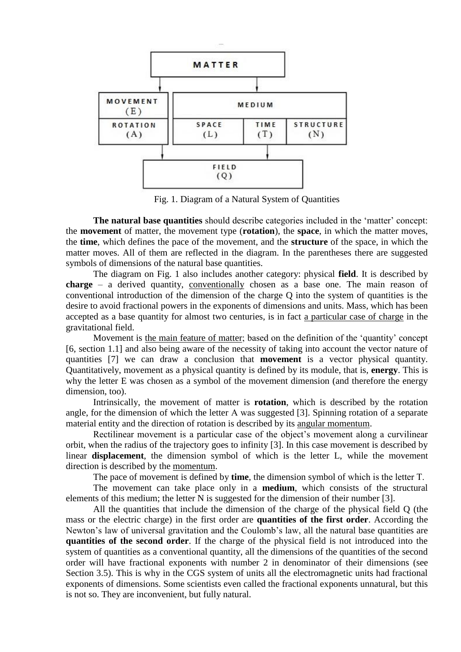

Fig. 1. Diagram of a Natural System of Quantities

**The natural base quantities** should describe categories included in the 'matter' concept: the **movement** of matter, the movement type (**rotation**), the **space**, in which the matter moves, the **time**, which defines the pace of the movement, and the **structure** of the space, in which the matter moves. All of them are reflected in the diagram. In the parentheses there are suggested symbols of dimensions of the natural base quantities.

The diagram on Fig. 1 also includes another category: physical **field**. It is described by **charge** – a derived quantity, conventionally chosen as a base one. The main reason of conventional introduction of the dimension of the charge Q into the system of quantities is the desire to avoid fractional powers in the exponents of dimensions and units. Mass, which has been accepted as a base quantity for almost two centuries, is in fact a particular case of charge in the gravitational field.

Movement is the main feature of matter; based on the definition of the 'quantity' concept [6, section 1.1] and also being aware of the necessity of taking into account the vector nature of quantities [7] we can draw a conclusion that **movement** is a vector physical quantity. Quantitatively, movement as a physical quantity is defined by its module, that is, **energy**. This is why the letter E was chosen as a symbol of the movement dimension (and therefore the energy dimension, too).

Intrinsically, the movement of matter is **rotation**, which is described by the rotation angle, for the dimension of which the letter А was suggested [3]. Spinning rotation of a separate material entity and the direction of rotation is described by its angular momentum.

Rectilinear movement is a particular case of the object's movement along a curvilinear orbit, when the radius of the trajectory goes to infinity [3]. In this case movement is described by linear **displacement**, the dimension symbol of which is the letter L, while the movement direction is described by the momentum.

The pace of movement is defined by **time**, the dimension symbol of which is the letter Т.

The movement can take place only in a **medium**, which consists of the structural elements of this medium; the letter N is suggested for the dimension of their number [3].

All the quantities that include the dimension of the charge of the physical field Q (the mass or the electric charge) in the first order are **quantities of the first order**. According the Newton's law of universal gravitation and the Coulomb's law, all the natural base quantities are **quantities of the second order**. If the charge of the physical field is not introduced into the system of quantities as a conventional quantity, all the dimensions of the quantities of the second order will have fractional exponents with number 2 in denominator of their dimensions (see Section 3.5). This is why in the CGS system of units all the electromagnetic units had fractional exponents of dimensions. Some scientists even called the fractional exponents unnatural, but this is not so. They are inconvenient, but fully natural.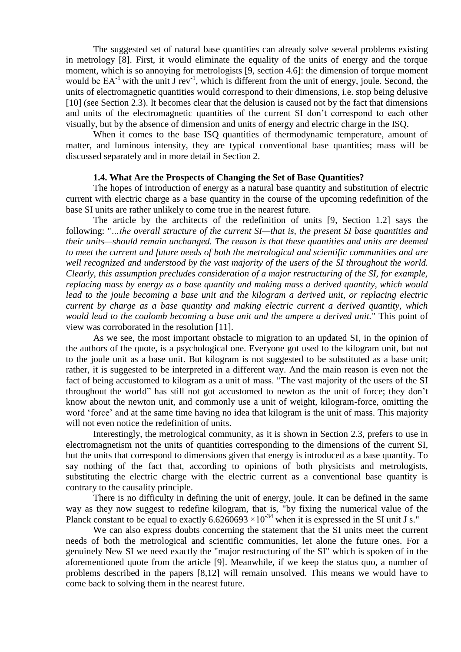The suggested set of natural base quantities can already solve several problems existing in metrology [8]. First, it would eliminate the equality of the units of energy and the torque moment, which is so annoying for metrologists [9, section 4.6]: the dimension of torque moment would be  $EA^{-1}$  with the unit J rev<sup>-1</sup>, which is different from the unit of energy, joule. Second, the units of electromagnetic quantities would correspond to their dimensions, i.e. stop being delusive [10] (see Section 2.3). It becomes clear that the delusion is caused not by the fact that dimensions and units of the electromagnetic quantities of the current SI don't correspond to each other visually, but by the absence of dimension and units of energy and electric charge in the ISQ.

When it comes to the base ISQ quantities of thermodynamic temperature, amount of matter, and luminous intensity, they are typical conventional base quantities; mass will be discussed separately and in more detail in Section 2.

#### **1.4. What Are the Prospects of Changing the Set of Base Quantities?**

The hopes of introduction of energy as a natural base quantity and substitution of electric current with electric charge as a base quantity in the course of the upcoming redefinition of the base SI units are rather unlikely to come true in the nearest future.

The article by the architects of the redefinition of units [9, Section 1.2] says the following: "*…the overall structure of the current SI—that is, the present SI base quantities and their units—should remain unchanged. The reason is that these quantities and units are deemed to meet the current and future needs of both the metrological and scientific communities and are well recognized and understood by the vast majority of the users of the SI throughout the world. Clearly, this assumption precludes consideration of a major restructuring of the SI, for example, replacing mass by energy as a base quantity and making mass a derived quantity, which would lead to the joule becoming a base unit and the kilogram a derived unit, or replacing electric current by charge as a base quantity and making electric current a derived quantity, which would lead to the coulomb becoming a base unit and the ampere a derived unit.*" This point of view was corroborated in the resolution [11].

As we see, the most important obstacle to migration to an updated SI, in the opinion of the authors of the quote, is a psychological one. Everyone got used to the kilogram unit, but not to the joule unit as a base unit. But kilogram is not suggested to be substituted as a base unit; rather, it is suggested to be interpreted in a different way. And the main reason is even not the fact of being accustomed to kilogram as a unit of mass. "The vast majority of the users of the SI throughout the world" has still not got accustomed to newton as the unit of force; they don't know about the newton unit, and commonly use a unit of weight, kilogram-force, omitting the word 'force' and at the same time having no idea that kilogram is the unit of mass. This majority will not even notice the redefinition of units.

Interestingly, the metrological community, as it is shown in Section 2.3, prefers to use in electromagnetism not the units of quantities corresponding to the dimensions of the current SI, but the units that correspond to dimensions given that energy is introduced as a base quantity. To say nothing of the fact that, according to opinions of both physicists and metrologists, substituting the electric charge with the electric current as a conventional base quantity is contrary to the causality principle.

There is no difficulty in defining the unit of energy, joule. It can be defined in the same way as they now suggest to redefine kilogram, that is, "by fixing the numerical value of the Planck constant to be equal to exactly  $6.6260693 \times 10^{-34}$  when it is expressed in the SI unit J s."

We can also express doubts concerning the statement that the SI units meet the current needs of both the metrological and scientific communities, let alone the future ones. For a genuinely New SI we need exactly the "major restructuring of the SI" which is spoken of in the aforementioned quote from the article [9]. Meanwhile, if we keep the status quo, a number of problems described in the papers [8,12] will remain unsolved. This means we would have to come back to solving them in the nearest future.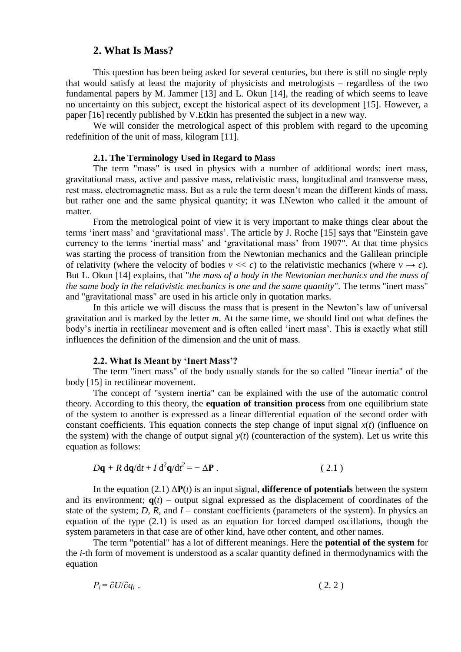## **2. What Is Mass?**

This question has been being asked for several centuries, but there is still no single reply that would satisfy at least the majority of physicists and metrologists – regardless of the two fundamental papers by M. Jammer [13] and L. Okun [14], the reading of which seems to leave no uncertainty on this subject, except the historical aspect of its development [15]. However, a paper [16] recently published by V.Etkin has presented the subject in a new way.

We will consider the metrological aspect of this problem with regard to the upcoming redefinition of the unit of mass, kilogram [11].

#### **2.1. The Terminology Used in Regard to Mass**

The term "mass" is used in physics with a number of additional words: inert mass, gravitational mass, active and passive mass, relativistic mass, longitudinal and transverse mass, rest mass, electromagnetic mass. But as a rule the term doesn't mean the different kinds of mass, but rather one and the same physical quantity; it was I.Newton who called it the amount of matter.

From the metrological point of view it is very important to make things clear about the terms 'inert mass' and 'gravitational mass'. The article by J. Roche [15] says that "Einstein gave currency to the terms 'inertial mass' and 'gravitational mass' from 1907". At that time physics was starting the process of transition from the Newtonian mechanics and the Galilean principle of relativity (where the velocity of bodies  $v \ll c$ ) to the relativistic mechanics (where  $v \to c$ ). But L. Okun [14] explains, that "*the mass of a body in the Newtonian mechanics and the mass of the same body in the relativistic mechanics is one and the same quantity*". The terms "inert mass" and "gravitational mass" are used in his article only in quotation marks.

In this article we will discuss the mass that is present in the Newton's law of universal gravitation and is marked by the letter *m*. At the same time, we should find out what defines the body's inertia in rectilinear movement and is often called 'inert mass'. This is exactly what still influences the definition of the dimension and the unit of mass.

#### **2.2. What Is Meant by 'Inert Mass'?**

The term "inert mass" of the body usually stands for the so called "linear inertia" of the body [15] in rectilinear movement.

The concept of "system inertia" can be explained with the use of the automatic control theory. According to this theory, the **equation of transition process** from one equilibrium state of the system to another is expressed as a linear differential equation of the second order with constant coefficients. This equation connects the step change of input signal  $x(t)$  (influence on the system) with the change of output signal  $y(t)$  (counteraction of the system). Let us write this equation as follows:

$$
D\mathbf{q} + R \, \mathrm{d}\mathbf{q}/\mathrm{d}t + I \, \mathrm{d}^2\mathbf{q}/\mathrm{d}t^2 = -\Delta \mathbf{P} \,. \tag{2.1}
$$

In the equation (2.1)  $\Delta P(t)$  is an input signal, **difference** of potentials between the system and its environment;  $q(t)$  – output signal expressed as the displacement of coordinates of the state of the system; *D*, *R*, and *I* – constant coefficients (parameters of the system). In physics an equation of the type (2.1) is used as an equation for forced damped oscillations, though the system parameters in that case are of other kind, have other content, and other names.

The term "potential" has a lot of different meanings. Here the **potential of the system** for the *i*-th form of movement is understood as a scalar quantity defined in thermodynamics with the equation

$$
P_i = \partial U / \partial q_i \tag{2.2}
$$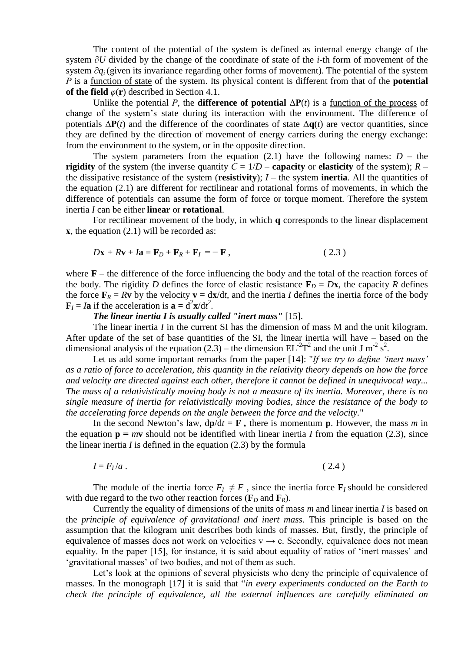The content of the potential of the system is defined as internal energy change of the system ∂*U* divided by the change of the coordinate of state of the *i*-th form of movement of the system ∂*q*<sub>*i*</sub> (given its invariance regarding other forms of movement). The potential of the system *P* is a function of state of the system. Its physical content is different from that of the **potential of the field**  $\varphi(\mathbf{r})$  described in Section 4.1.

Unlike the potential *P*, the **difference of potential**  $\Delta P(t)$  is a function of the process of change of the system's state during its interaction with the environment. The difference of potentials  $\Delta P(t)$  and the difference of the coordinates of state  $\Delta q(t)$  are vector quantities, since they are defined by the direction of movement of energy carriers during the energy exchange: from the environment to the system, or in the opposite direction.

The system parameters from the equation  $(2.1)$  have the following names:  $D -$  the **rigidity** of the system (the inverse quantity  $C = 1/D$  – **capacity** or **elasticity** of the system);  $R$ the dissipative resistance of the system (**resistivity**);  $I$  – the system **inertia**. All the quantities of the equation (2.1) are different for rectilinear and rotational forms of movements, in which the difference of potentials can assume the form of force or torque moment. Therefore the system inertia *I* can be either **linear** or **rotational**.

For rectilinear movement of the body, in which **q** corresponds to the linear displacement **x**, the equation (2.1) will be recorded as:

$$
D\mathbf{x} + R\mathbf{v} + I\mathbf{a} = \mathbf{F}_D + \mathbf{F}_R + \mathbf{F}_I = -\mathbf{F},
$$
\n(2.3)

where  $\mathbf{F}$  – the difference of the force influencing the body and the total of the reaction forces of the body. The rigidity *D* defines the force of elastic resistance  $\mathbf{F}_D = D\mathbf{x}$ , the capacity *R* defines the force  $\mathbf{F}_R = R\mathbf{v}$  by the velocity  $\mathbf{v} = d\mathbf{x}/dt$ , and the inertia *I* defines the inertia force of the body  $\mathbf{F}_I = I\mathbf{a}$  if the acceleration is  $\mathbf{a} = d^2\mathbf{x}/dt^2$ .

*The linear inertia I is usually called "inert mass"* [15].

The linear inertia *I* in the current SI has the dimension of mass M and the unit kilogram. After update of the set of base quantities of the SI, the linear inertia will have – based on the dimensional analysis of the equation (2.3) – the dimension  $EL^{-2}T^2$  and the unit J m<sup>-2</sup> s<sup>2</sup>.

Let us add some important remarks from the paper [14]: "*If we try to define 'inert mass' as a ratio of force to acceleration, this quantity in the relativity theory depends on how the force and velocity are directed against each other, therefore it cannot be defined in unequivocal way... The mass of a relativistically moving body is not a measure of its inertia. Moreover, there is no single measure of inertia for relativistically moving bodies, since the resistance of the body to the accelerating force depends on the angle between the force and the velocity.*"

In the second Newton's law,  $d\mathbf{p}/dt = \mathbf{F}$ , there is momentum **p**. However, the mass *m* in the equation  $\mathbf{p} = m\mathbf{v}$  should not be identified with linear inertia *I* from the equation (2.3), since the linear inertia  $I$  is defined in the equation  $(2.3)$  by the formula

$$
I = F_I/a \tag{2.4}
$$

The module of the inertia force  $F_I \neq F$ , since the inertia force  $\mathbf{F}_I$  should be considered with due regard to the two other reaction forces ( $\mathbf{F}_D$  and  $\mathbf{F}_R$ ).

Currently the equality of dimensions of the units of mass *m* and linear inertia *I* is based on the *principle of equivalence of gravitational and inert mass*. This principle is based on the assumption that the kilogram unit describes both kinds of masses. But, firstly, the principle of equivalence of masses does not work on velocities  $v \rightarrow c$ . Secondly, equivalence does not mean equality. In the paper [15], for instance, it is said about equality of ratios of 'inert masses' and 'gravitational masses' of two bodies, and not of them as such.

Let's look at the opinions of several physicists who deny the principle of equivalence of masses. In the monograph [17] it is said that "*in every experiments conducted on the Earth to check the principle of equivalence, all the external influences are carefully eliminated on*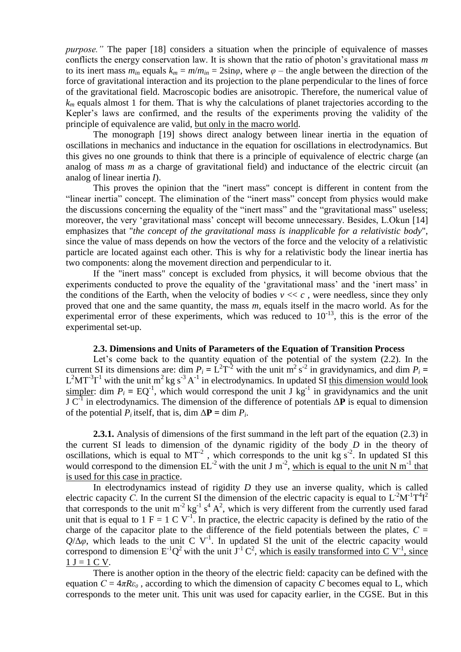*purpose.*" The paper [18] considers a situation when the principle of equivalence of masses conflicts the energy conservation law. It is shown that the ratio of photon's gravitational mass *m* to its inert mass  $m_{in}$  equals  $k_m = m/m_{in} = 2\sin\varphi$ , where  $\varphi$  – the angle between the direction of the force of gravitational interaction and its projection to the plane perpendicular to the lines of force of the gravitational field. Macroscopic bodies are anisotropic. Therefore, the numerical value of  $k<sub>m</sub>$  equals almost 1 for them. That is why the calculations of planet trajectories according to the Kepler's laws are confirmed, and the results of the experiments proving the validity of the principle of equivalence are valid, but only in the macro world.

The monograph [19] shows direct analogy between linear inertia in the equation of oscillations in mechanics and inductance in the equation for oscillations in electrodynamics. But this gives no one grounds to think that there is a principle of equivalence of electric charge (an analog of mass *m* as a charge of gravitational field) and inductance of the electric circuit (an analog of linear inertia *I*).

This proves the opinion that the "inert mass" concept is different in content from the "linear inertia" concept. The elimination of the "inert mass" concept from physics would make the discussions concerning the equality of the "inert mass" and the "gravitational mass" useless; moreover, the very 'gravitational mass' concept will become unnecessary. Besides, L.Okun [14] emphasizes that "*the concept of the gravitational mass is inapplicable for a relativistic body*", since the value of mass depends on how the vectors of the force and the velocity of a relativistic particle are located against each other. This is why for a relativistic body the linear inertia has two components: along the movement direction and perpendicular to it.

If the "inert mass" concept is excluded from physics, it will become obvious that the experiments conducted to prove the equality of the 'gravitational mass' and the 'inert mass' in the conditions of the Earth, when the velocity of bodies  $v \ll c$ , were needless, since they only proved that one and the same quantity, the mass *m*, equals itself in the macro world. As for the experimental error of these experiments, which was reduced to  $10^{-13}$ , this is the error of the experimental set-up.

### **2.3. Dimensions and Units of Parameters of the Equation of Transition Process**

Let's come back to the quantity equation of the potential of the system (2.2). In the current SI its dimensions are: dim  $P_i = L^2T^{-2}$  with the unit m<sup>2</sup> s<sup>-2</sup> in gravidynamics, and dim  $P_i =$  $L^2MT^{-3}I^{-1}$  with the unit m<sup>2</sup> kg s<sup>-3</sup> A<sup>-1</sup> in electrodynamics. In updated SI this dimension would look simpler: dim  $P_i = EQ^{-1}$ , which would correspond the unit  $\overline{J}$  kg<sup>-1</sup> in gravidynamics and the unit  $J C<sup>-1</sup>$  in electrodynamics. The dimension of the difference of potentials  $\Delta P$  is equal to dimension of the potential  $P_i$  itself, that is, dim  $\Delta P = \dim P_i$ .

**2.3.1.** Analysis of dimensions of the first summand in the left part of the equation (2.3) in the current SI leads to dimension of the dynamic rigidity of the body *D* in the theory of oscillations, which is equal to  $MT<sup>2</sup>$ , which corresponds to the unit kg s<sup>-2</sup>. In updated SI this would correspond to the dimension  $EL^{-2}$  with the unit J m<sup>-2</sup>, which is equal to the unit N m<sup>-1</sup> that is used for this case in practice.

In electrodynamics instead of rigidity *D* they use an inverse quality, which is called electric capacity *C*. In the current SI the dimension of the electric capacity is equal to  $L^{2}M^{1}T^{4}T^{2}$ that corresponds to the unit  $m^{-2}$  kg<sup>-1</sup> s<sup>4</sup> A<sup>2</sup>, which is very different from the currently used farad unit that is equal to 1 F = 1 C V<sup>-1</sup>. In practice, the electric capacity is defined by the ratio of the charge of the capacitor plate to the difference of the field potentials between the plates,  $C =$  $Q/\Delta\varphi$ , which leads to the unit C V<sup>-1</sup>. In updated SI the unit of the electric capacity would correspond to dimension  $E^{-1}Q^2$  with the unit  $J^{-1}C^2$ , which is easily transformed into C  $V^{-1}$ , since  $1 J = 1 C V.$ 

There is another option in the theory of the electric field: capacity can be defined with the equation  $C = 4\pi R \varepsilon_0$ , according to which the dimension of capacity *C* becomes equal to L, which corresponds to the meter unit. This unit was used for capacity earlier, in the CGSE. But in this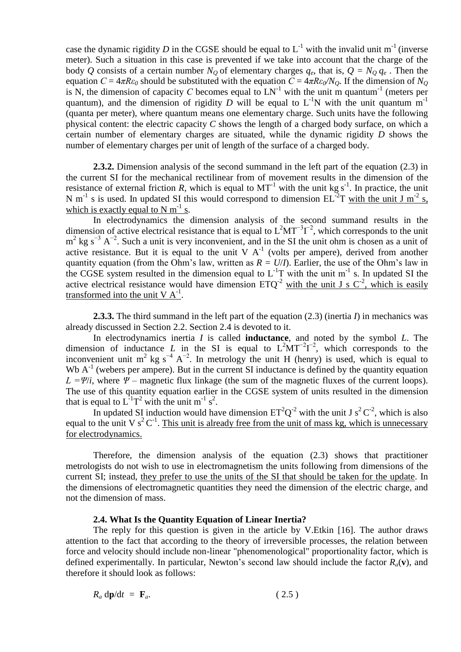case the dynamic rigidity *D* in the CGSE should be equal to  $L^{-1}$  with the invalid unit m<sup>-1</sup> (inverse meter). Such a situation in this case is prevented if we take into account that the charge of the body *Q* consists of a certain number  $N_Q$  of elementary charges  $q_e$ , that is,  $Q = N_Q q_e$ . Then the equation  $C = 4\pi R \varepsilon_0$  should be substituted with the equation  $\overline{C} = 4\pi R \varepsilon_0 / N_Q$ . If the dimension of  $N_Q$ is N, the dimension of capacity C becomes equal to  $LN^{-1}$  with the unit m quantum<sup>-1</sup> (meters per quantum), and the dimension of rigidity *D* will be equal to  $L^{-1}N$  with the unit quantum m<sup>-1</sup> (quanta per meter), where quantum means one elementary charge. Such units have the following physical content: the electric capacity *C* shows the length of a charged body surface, on which a certain number of elementary charges are situated, while the dynamic rigidity *D* shows the number of elementary charges per unit of length of the surface of a charged body.

**2.3.2.** Dimension analysis of the second summand in the left part of the equation (2.3) in the current SI for the mechanical rectilinear from of movement results in the dimension of the resistance of external friction *R*, which is equal to  $MT^{-1}$  with the unit kg s<sup>-1</sup>. In practice, the unit N m<sup>-1</sup> s is used. In updated SI this would correspond to dimension  $EL^{-2}T$  with the unit J m<sup>-2</sup> s, which is exactly equal to N  $m^{-1}$  s.

In electrodynamics the dimension analysis of the second summand results in the dimension of active electrical resistance that is equal to  $L^2MT^{-3}\Gamma^{-2}$ , which corresponds to the unit  $m^2$  kg s<sup>-3</sup> A<sup>-2</sup>. Such a unit is very inconvenient, and in the SI the unit ohm is chosen as a unit of active resistance. But it is equal to the unit V  $A^{-1}$  (volts per ampere), derived from another quantity equation (from the Ohm's law, written as  $R = U/I$ ). Earlier, the use of the Ohm's law in the CGSE system resulted in the dimension equal to  $L^{-1}T$  with the unit m<sup>-1</sup> s. In updated SI the active electrical resistance would have dimension  $ETQ<sup>-2</sup>$  with the unit J s  $C<sup>-2</sup>$ , which is easily transformed into the unit  $V A^{-1}$ .

**2.3.3.** The third summand in the left part of the equation (2.3) (inertia *I*) in mechanics was already discussed in Section 2.2. Section 2.4 is devoted to it.

In electrodynamics inertia *I* is called **inductance**, and noted by the symbol *L*. The dimension of inductance *L* in the SI is equal to  $L^2MT^{-2}L^{-2}$ , which corresponds to the inconvenient unit m<sup>2</sup> kg s<sup>-4</sup> A<sup>-2</sup>. In metrology the unit H (henry) is used, which is equal to Wb  $A^{-1}$  (webers per ampere). But in the current SI inductance is defined by the quantity equation  $L = \Psi/i$ , where  $\Psi$  – magnetic flux linkage (the sum of the magnetic fluxes of the current loops). The use of this quantity equation earlier in the CGSE system of units resulted in the dimension that is equal to  $L^{\text{-}1}T^2$  with the unit m<sup>-1</sup> s<sup>2</sup>.

In updated SI induction would have dimension  $ET^2Q^{-2}$  with the unit J s<sup>2</sup>C<sup>-2</sup>, which is also equal to the unit V  $s^2C^{-1}$ . This unit is already free from the unit of mass kg, which is unnecessary for electrodynamics.

Therefore, the dimension analysis of the equation (2.3) shows that practitioner metrologists do not wish to use in electromagnetism the units following from dimensions of the current SI; instead, they prefer to use the units of the SI that should be taken for the update. In the dimensions of electromagnetic quantities they need the dimension of the electric charge, and not the dimension of mass.

#### **2.4. What Is the Quantity Equation of Linear Inertia?**

The reply for this question is given in the article by V.Etkin [16]. The author draws attention to the fact that according to the theory of irreversible processes, the relation between force and velocity should include non-linear "phenomenological" proportionality factor, which is defined experimentally. In particular, Newton's second law should include the factor  $R_a(\mathbf{v})$ , and therefore it should look as follows:

$$
R_a \, \mathrm{d} \mathbf{p} / \mathrm{d} t = \mathbf{F}_a. \tag{2.5}
$$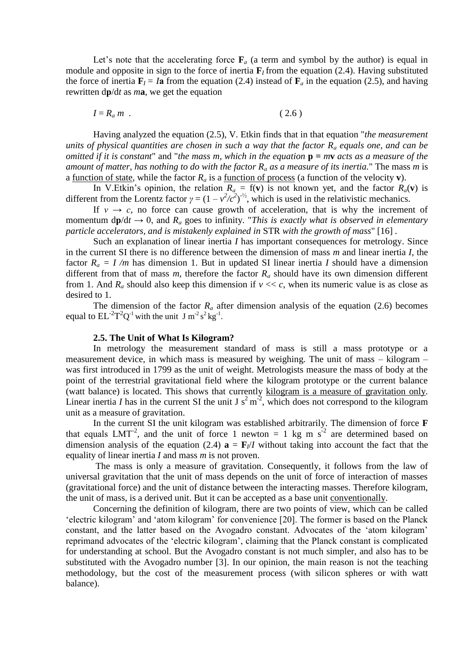Let's note that the accelerating force  $\mathbf{F}_a$  (a term and symbol by the author) is equal in module and opposite in sign to the force of inertia  $\mathbf{F}_I$  from the equation (2.4). Having substituted the force of inertia  $\mathbf{F}_I = I\mathbf{a}$  from the equation (2.4) instead of  $\mathbf{F}_a$  in the equation (2.5), and having rewritten d**р**/d*t* as *m***a**, we get the equation

$$
I = R_a m \tag{2.6}
$$

Having analyzed the equation (2.5), V. Etkin finds that in that equation "*the measurement units of physical quantities are chosen in such a way that the factor R<sup>а</sup> equals one, and can be omitted if it is constant*" and "*the mass m, which in the equation* **р** *= m***v** *acts as a measure of the amount of matter, has nothing to do with the factor R<sup>а</sup> as a measure of its inertia.*" The mass *m* is a <u>function of state</u>, while the factor  $R_a$  is a <u>function of process</u> (a function of the velocity **v**).

In V. Etkin's opinion, the relation  $R_a = f(v)$  is not known yet, and the factor  $R_a(v)$  is different from the Lorentz factor  $\gamma = (1 - v^2/c^2)^{-1/2}$ , which is used in the relativistic mechanics.

If  $v \rightarrow c$ , no force can cause growth of acceleration, that is why the increment of momentum  $dp/dt \rightarrow 0$ , and  $R_a$  goes to infinity. "This is exactly what is observed in elementary *particle accelerators, and is mistakenly explained in* STR *with the growth of mass*" [16] *.*

Such an explanation of linear inertia *I* has important consequences for metrology. Since in the current SI there is no difference between the dimension of mass *m* and linear inertia *I*, the factor  $R_a = I/m$  has dimension 1. But in updated SI linear inertia *I* should have a dimension different from that of mass *m*, therefore the factor *R<sup>а</sup>* should have its own dimension different from 1. And  $R_a$  should also keep this dimension if  $v \ll c$ , when its numeric value is as close as desired to 1.

The dimension of the factor  $R_a$  after dimension analysis of the equation (2.6) becomes equal to  $EL^{-2}T^2Q^{-1}$  with the unit J m<sup>-2</sup> s<sup>2</sup> kg<sup>-1</sup>.

#### **2.5. The Unit of What Is Kilogram?**

In metrology the measurement standard of mass is still a mass prototype or a measurement device, in which mass is measured by weighing. The unit of mass – kilogram – was first introduced in 1799 as the unit of weight. Metrologists measure the mass of body at the point of the terrestrial gravitational field where the kilogram prototype or the current balance (watt balance) is located. This shows that currently kilogram is a measure of gravitation only. Linear inertia *I* has in the current SI the unit J  $s^2 m^2$ , which does not correspond to the kilogram unit as a measure of gravitation.

In the current SI the unit kilogram was established arbitrarily. The dimension of force **F** that equals LMT<sup>-2</sup>, and the unit of force 1 newton = 1 kg m  $s^{-2}$  are determined based on dimension analysis of the equation (2.4)  $\mathbf{a} = \mathbf{F}/I$  without taking into account the fact that the equality of linear inertia *I* and mass *m* is not proven.

The mass is only a measure of gravitation. Consequently, it follows from the law of universal gravitation that the unit of mass depends on the unit of force of interaction of masses (gravitational force) and the unit of distance between the interacting masses. Therefore kilogram, the unit of mass, is a derived unit. But it can be accepted as a base unit conventionally.

Concerning the definition of kilogram, there are two points of view, which can be called 'electric kilogram' and 'atom kilogram' for convenience [20]. The former is based on the Planck constant, and the latter based on the Avogadro constant. Advocates of the 'atom kilogram' reprimand advocates of the 'electric kilogram', claiming that the Planck constant is complicated for understanding at school. But the Avogadro constant is not much simpler, and also has to be substituted with the Avogadro number [3]. In our opinion, the main reason is not the teaching methodology, but the cost of the measurement process (with silicon spheres or with watt balance).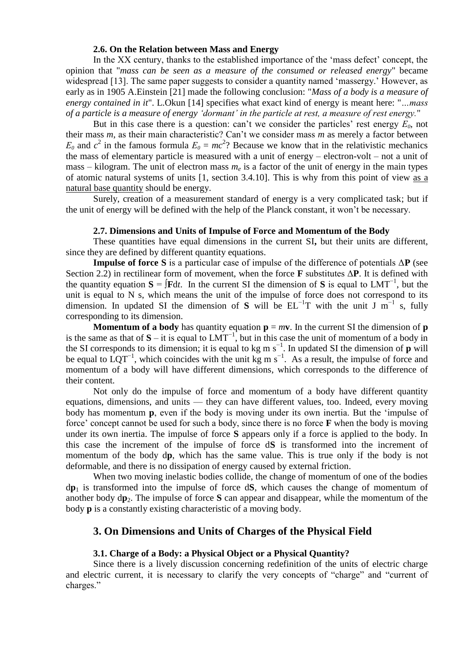### **2.6. On the Relation between Mass and Energy**

In the XX century, thanks to the established importance of the 'mass defect' concept, the opinion that "*mass can be seen as a measure of the consumed or released energy*" became widespread [13]. The same paper suggests to consider a quantity named 'massergy.' However, as early as in 1905 A.Einstein [21] made the following conclusion: "*Mass of a body is a measure of energy contained in it*". L.Okun [14] specifies what exact kind of energy is meant here: "*…mass of a particle is a measure of energy 'dormant' in the particle at rest, a measure of rest energy.*"

But in this case there is a question: can't we consider the particles' rest energy  $E_0$ , not their mass *m*, as their main characteristic? Can't we consider mass *m* as merely a factor between  $E_0$  and  $c^2$  in the famous formula  $E_0 = mc^2$ ? Because we know that in the relativistic mechanics the mass of elementary particle is measured with a unit of energy – electron-volt – not a unit of mass – kilogram. The unit of electron mass *m<sup>e</sup>* is a factor of the unit of energy in the main types of atomic natural systems of units [1, section 3.4.10]. This is why from this point of view as a natural base quantity should be energy.

Surely, creation of a measurement standard of energy is a very complicated task; but if the unit of energy will be defined with the help of the Planck constant, it won't be necessary.

#### **2.7. Dimensions and Units of Impulse of Force and Momentum of the Body**

These quantities have equal dimensions in the current SI**,** but their units are different, since they are defined by different quantity equations.

**Impulse of force S** is a particular case of impulse of the difference of potentials Δ**P** (see Section 2.2) in rectilinear form of movement, when the force **F** substitutes Δ**P**. It is defined with the quantity equation  $S = \int F dt$ . In the current SI the dimension of S is equal to LMT<sup>-1</sup>, but the unit is equal to  $N$  s, which means the unit of the impulse of force does not correspond to its dimension. In updated SI the dimension of S will be  $EL^{-1}T$  with the unit J m<sup>-1</sup> s, fully corresponding to its dimension.

**Momentum of a body** has quantity equation  $\mathbf{p} = m\mathbf{v}$ . In the current SI the dimension of  $\mathbf{p}$ is the same as that of  $S - it$  is equal to LMT<sup>-1</sup>, but in this case the unit of momentum of a body in the SI corresponds to its dimension; it is equal to kg m s−1 . In updated SI the dimension of **p** will be equal to  $LQT^{-1}$ , which coincides with the unit kg m s<sup>-1</sup>. As a result, the impulse of force and momentum of a body will have different dimensions, which corresponds to the difference of their content.

Not only do the impulse of force and momentum of a body have different quantity equations, dimensions, and units — they can have different values, too. Indeed, every moving body has momentum **p**, even if the body is moving under its own inertia. But the 'impulse of force' concept cannot be used for such a body, since there is no force **F** when the body is moving under its own inertia. The impulse of force **S** appears only if a force is applied to the body. In this case the increment of the impulse of force d**S** is transformed into the increment of momentum of the body d**p**, which has the same value. This is true only if the body is not deformable, and there is no dissipation of energy caused by external friction.

When two moving inelastic bodies collide, the change of momentum of one of the bodies d**p**<sup>1</sup> is transformed into the impulse of force d**S**, which causes the change of momentum of another body  $dp_2$ . The impulse of force **S** can appear and disappear, while the momentum of the body **p** is a constantly existing characteristic of a moving body.

## **3. On Dimensions and Units of Charges of the Physical Field**

#### **3.1. Charge of a Body: a Physical Object or a Physical Quantity?**

Since there is a lively discussion concerning redefinition of the units of electric charge and electric current, it is necessary to clarify the very concepts of "charge" and "current of charges."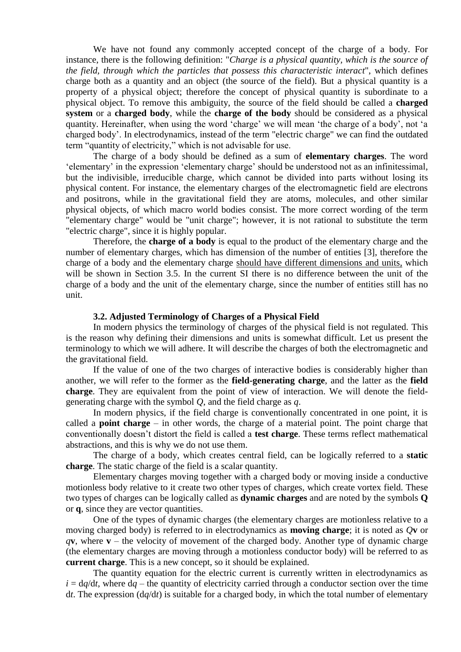We have not found any commonly accepted concept of the charge of a body. For instance, there is the following definition: "*Charge is a physical quantity, which is the source of the field, through which the particles that possess this characteristic interact*", which defines charge both as a quantity and an object (the source of the field). But a physical quantity is a property of a physical object; therefore the concept of physical quantity is subordinate to a physical object. To remove this ambiguity, the source of the field should be called a **charged system** or a **charged body**, while the **charge of the body** should be considered as a physical quantity. Hereinafter, when using the word 'charge' we will mean 'the charge of a body', not 'a charged body'. In electrodynamics, instead of the term "electric charge" we can find the outdated term "quantity of electricity," which is not advisable for use.

The charge of a body should be defined as a sum of **elementary charges**. The word 'elementary' in the expression 'elementary charge' should be understood not as an infinitessimal, but the indivisible, irreducible charge, which cannot be divided into parts without losing its physical content. For instance, the elementary charges of the electromagnetic field are electrons and positrons, while in the gravitational field they are atoms, molecules, and other similar physical objects, of which macro world bodies consist. The more correct wording of the term "elementary charge" would be "unit charge"; however, it is not rational to substitute the term "electric charge", since it is highly popular.

Therefore, the **charge of a body** is equal to the product of the elementary charge and the number of elementary charges, which has dimension of the number of entities [3], therefore the charge of a body and the elementary charge should have different dimensions and units, which will be shown in Section 3.5. In the current SI there is no difference between the unit of the charge of a body and the unit of the elementary charge, since the number of entities still has no unit.

#### **3.2. Adjusted Terminology of Charges of a Physical Field**

In modern physics the terminology of charges of the physical field is not regulated. This is the reason why defining their dimensions and units is somewhat difficult. Let us present the terminology to which we will adhere. It will describe the charges of both the electromagnetic and the gravitational field.

If the value of one of the two charges of interactive bodies is considerably higher than another, we will refer to the former as the **field-generating charge**, and the latter as the **field charge**. They are equivalent from the point of view of interaction. We will denote the fieldgenerating charge with the symbol *Q*, and the field charge as *q*.

In modern physics, if the field charge is conventionally concentrated in one point, it is called a **point charge** – in other words, the charge of a material point. The point charge that conventionally doesn't distort the field is called a **test charge**. These terms reflect mathematical abstractions, and this is why we do not use them.

The charge of a body, which creates central field, can be logically referred to a **static charge**. The static charge of the field is a scalar quantity.

Elementary charges moving together with a charged body or moving inside a conductive motionless body relative to it create two other types of charges, which create vortex field. These two types of charges can be logically called as **dynamic charges** and are noted by the symbols **Q** or **q**, since they are vector quantities.

One of the types of dynamic charges (the elementary charges are motionless relative to a moving charged body) is referred to in electrodynamics as **moving charge**; it is noted as *Q***v** or  $q$ **v**, where **v** – the velocity of movement of the charged body. Another type of dynamic charge (the elementary charges are moving through a motionless conductor body) will be referred to as **current charge**. This is a new concept, so it should be explained.

The quantity equation for the electric current is currently written in electrodynamics as  $i = dq/dt$ , where  $dq$  – the quantity of electricity carried through a conductor section over the time d*t*. The expression (d*q*/d*t*) is suitable for a charged body, in which the total number of elementary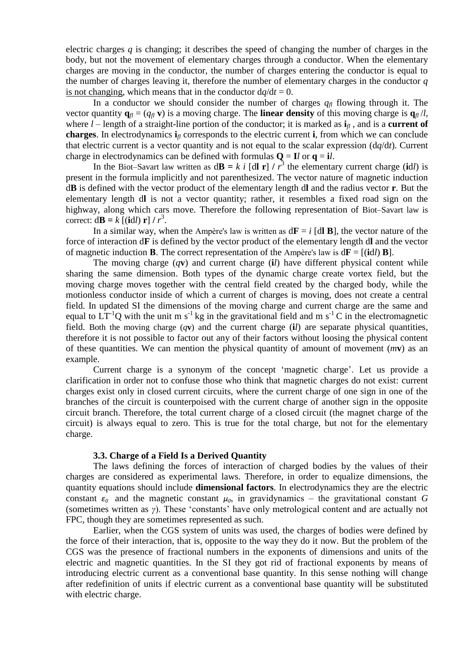electric charges  $q$  is changing; it describes the speed of changing the number of charges in the body, but not the movement of elementary charges through a conductor. When the elementary charges are moving in the conductor, the number of charges entering the conductor is equal to the number of charges leaving it, therefore the number of elementary charges in the conductor *q* is not changing, which means that in the conductor  $dq/dt = 0$ .

In a conductor we should consider the number of charges  $q_f$  flowing through it. The vector quantity  $\mathbf{q}_{\textit{fl}} = (q_{\textit{fl}} \mathbf{v})$  is a moving charge. The **linear density** of this moving charge is  $\mathbf{q}_{\textit{fl}}/l$ , where  $l$  – length of a straight-line portion of the conductor; it is marked as  $\mathbf{i}_l$ , and is a **current of charges**. In electrodynamics  $\mathbf{i}$ <sup>*f*</sup> corresponds to the electric current **i**, from which we can conclude that electric current is a vector quantity and is not equal to the scalar expression (d*q*/d*t*). Current charge in electrodynamics can be defined with formulas  $Q = I/d$  or  $q = i*l*$ .

In the Biot–Savart law written as  $d\mathbf{B} = k \, i$  [dl **r**]  $/r^3$  the elementary current charge (id*l*) is present in the formula implicitly and not parenthesized. The vector nature of magnetic induction d**B** is defined with the vector product of the elementary length d**l** and the radius vector **r**. But the elementary length d**l** is not a vector quantity; rather, it resembles a fixed road sign on the highway, along which cars move. Therefore the following representation of Biot–Savart law is correct:  $d\mathbf{B} = k \left[ (\mathbf{i} d \mathbf{l}) \mathbf{r} \right] / r^3$ .

In a similar way, when the Ampère's law is written as  $d\mathbf{F} = i$  [dl **B**], the vector nature of the force of interaction d**F** is defined by the vector product of the elementary length d**l** and the vector of magnetic induction **B**. The correct representation of the Ampère's law is  $d\mathbf{F} = [(\mathbf{i}d_l)\mathbf{B}]$ .

The moving charge (*q***v**) and current charge (**i***l*) have different physical content while sharing the same dimension. Both types of the dynamic charge create vortex field, but the moving charge moves together with the central field created by the charged body, while the motionless conductor inside of which a current of charges is moving, does not create a central field. In updated SI the dimensions of the moving charge and current charge are the same and equal to  $LT^{-1}Q$  with the unit m s<sup>-1</sup> kg in the gravitational field and m s<sup>-1</sup> C in the electromagnetic field. Both the moving charge (*q***v**) and the current charge (**i***l*) are separate physical quantities, therefore it is not possible to factor out any of their factors without loosing the physical content of these quantities. We can mention the physical quantity of amount of movement (*m***v**) as an example.

Current charge is a synonym of the concept 'magnetic charge'. Let us provide a clarification in order not to confuse those who think that magnetic charges do not exist: current charges exist only in closed current circuits, where the current charge of one sign in one of the branches of the circuit is counterpoised with the current charge of another sign in the opposite circuit branch. Therefore, the total current charge of a closed circuit (the magnet charge of the circuit) is always equal to zero. This is true for the total charge, but not for the elementary charge.

#### **3.3. Charge of a Field Is a Derived Quantity**

The laws defining the forces of interaction of charged bodies by the values of their charges are considered as experimental laws. Therefore, in order to equalize dimensions, the quantity equations should include **dimensional factors**. In electrodynamics they are the electric constant  $\varepsilon_0$  and the magnetic constant  $\mu_0$ , in gravidynamics – the gravitational constant *G* (sometimes written as *γ*). These 'constants' have only metrological content and are actually not FPC, though they are sometimes represented as such.

Earlier, when the CGS system of units was used, the charges of bodies were defined by the force of their interaction, that is, opposite to the way they do it now. But the problem of the CGS was the presence of fractional numbers in the exponents of dimensions and units of the electric and magnetic quantities. In the SI they got rid of fractional exponents by means of introducing electric current as a conventional base quantity. In this sense nothing will change after redefinition of units if electric current as a conventional base quantity will be substituted with electric charge.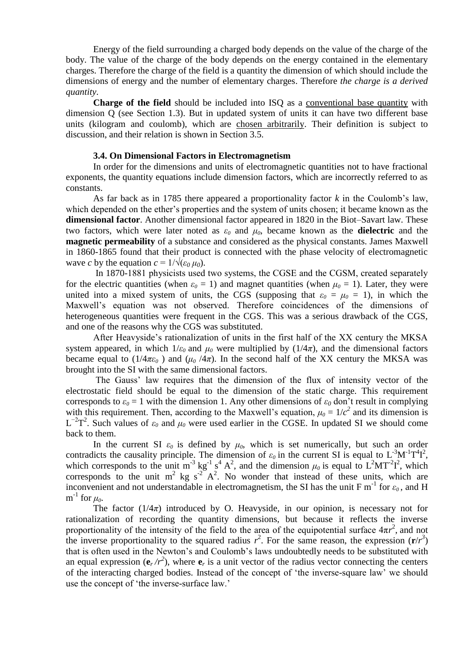Energy of the field surrounding a charged body depends on the value of the charge of the body. The value of the charge of the body depends on the energy contained in the elementary charges. Therefore the charge of the field is a quantity the dimension of which should include the dimensions of energy and the number of elementary charges. Therefore *the charge is a derived quantity*.

**Charge of the field** should be included into ISQ as a conventional base quantity with dimension Q (see Section 1.3). But in updated system of units it can have two different base units (kilogram and coulomb), which are chosen arbitrarily. Their definition is subject to discussion, and their relation is shown in Section 3.5.

### **3.4. On Dimensional Factors in Electromagnetism**

In order for the dimensions and units of electromagnetic quantities not to have fractional exponents, the quantity equations include dimension factors, which are incorrectly referred to as constants.

As far back as in 1785 there appeared a proportionality factor *k* in the Coulomb's law, which depended on the ether's properties and the system of units chosen; it became known as the **dimensional factor**. Another dimensional factor appeared in 1820 in the Biot–Savart law. These two factors, which were later noted as  $\varepsilon_0$  and  $\mu_0$ , became known as the **dielectric** and the **magnetic permeability** of a substance and considered as the physical constants. James Maxwell in 1860-1865 found that their product is connected with the phase velocity of electromagnetic wave *c* by the equation  $c = 1/\sqrt{(\varepsilon_0 \mu_0)}$ .

In 1870-1881 physicists used two systems, the CGSE and the CGSМ, created separately for the electric quantities (when  $\varepsilon_0 = 1$ ) and magnet quantities (when  $\mu_0 = 1$ ). Later, they were united into a mixed system of units, the CGS (supposing that  $\varepsilon_0 = \mu_0 = 1$ ), in which the Maxwell's equation was not observed. Therefore coincidences of the dimensions of heterogeneous quantities were frequent in the CGS. This was a serious drawback of the CGS, and one of the reasons why the CGS was substituted.

After Heavyside's rationalization of units in the first half of the ХХ century the MKSA system appeared, in which  $1/\varepsilon_0$  and  $\mu_0$  were multiplied by ( $1/4\pi$ ), and the dimensional factors became equal to ( $1/4\pi\varepsilon_0$ ) and ( $\mu_0/4\pi$ ). In the second half of the XX century the MKSA was brought into the SI with the same dimensional factors.

The Gauss' law requires that the dimension of the flux of intensity vector of the electrostatic field should be equal to the dimension of the static charge. This requirement corresponds to  $\varepsilon_0 = 1$  with the dimension 1. Any other dimensions of  $\varepsilon_0$  don't result in complying with this requirement. Then, according to the Maxwell's equation,  $\mu_0 = 1/c^2$  and its dimension is  $L^{-2}T^2$ . Such values of  $\varepsilon_0$  and  $\mu_0$  were used earlier in the CGSE. In updated SI we should come back to them.

In the current SI  $\varepsilon_0$  is defined by  $\mu_0$ , which is set numerically, but such an order contradicts the causality principle. The dimension of  $\varepsilon_0$  in the current SI is equal to  $L^{-3}M^{-1}T^{4}I^{2}$ , which corresponds to the unit  $m^{-3}$  kg<sup>-1</sup> s<sup>4</sup> A<sup>2</sup>, and the dimension  $\mu_0$  is equal to  $L^2MT^{-2}I^2$ , which corresponds to the unit  $m^2$  kg s<sup>2</sup> $A^2$ . No wonder that instead of these units, which are inconvenient and not understandable in electromagnetism, the SI has the unit F m<sup>-1</sup> for  $\varepsilon_0$ , and H  $\text{m}^{\text{-1}}$  for  $\mu_{0}$ .

The factor  $(1/4\pi)$  introduced by O. Heavyside, in our opinion, is necessary not for rationalization of recording the quantity dimensions, but because it reflects the inverse proportionality of the intensity of the field to the area of the equipotential surface  $4\pi r^2$ , and not the inverse proportionality to the squared radius  $r^2$ . For the same reason, the expression  $(\mathbf{r}/r^3)$ that is often used in the Newton's and Coulomb's laws undoubtedly needs to be substituted with an equal expression  $(\mathbf{e}_r / r^2)$ , where  $\mathbf{e}_r$  is a unit vector of the radius vector connecting the centers of the interacting charged bodies. Instead of the concept of 'the inverse-square law' we should use the concept of 'the inverse-surface law.'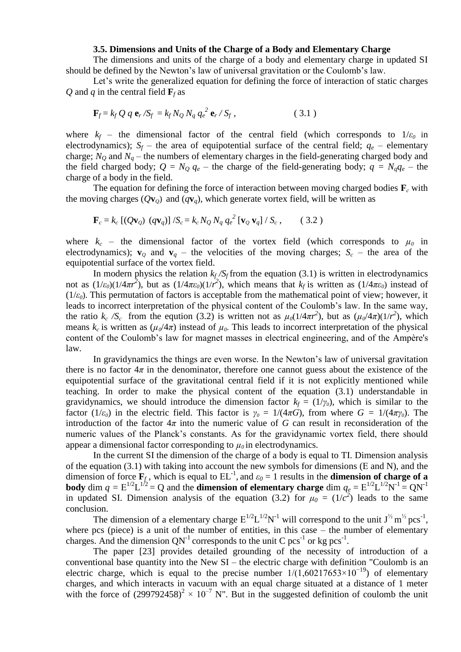#### **3.5. Dimensions and Units of the Charge of a Body and Elementary Charge**

The dimensions and units of the charge of a body and elementary charge in updated SI should be defined by the Newton's law of universal gravitation or the Coulomb's law.

Let's write the generalized equation for defining the force of interaction of static charges *Q* and *q* in the central field  $\mathbf{F}_f$  as

$$
\mathbf{F}_f = k_f Q q \mathbf{e}_r / S_f = k_f N_Q N_q q_e^2 \mathbf{e}_r / S_f, \qquad (3.1)
$$

where  $k_f$  – the dimensional factor of the central field (which corresponds to  $1/\varepsilon_0$  in electrodynamics);  $S_f$  – the area of equipotential surface of the central field;  $q_e$  – elementary charge;  $N<sub>O</sub>$  and  $N<sub>q</sub>$  – the numbers of elementary charges in the field-generating charged body and the field charged body;  $Q = N_Q q_e$  – the charge of the field-generating body;  $q = N_q q_e$  – the charge of a body in the field.

The equation for defining the force of interaction between moving charged bodies  $\mathbf{F}_c$  with the moving charges  $(Qv_0)$  and  $(qv_a)$ , which generate vortex field, will be written as

$$
\mathbf{F}_c = k_c \left[ (Q \mathbf{v}_Q) (q \mathbf{v}_q) \right] / S_c = k_c N_Q N_q q_e^2 \left[ \mathbf{v}_Q \mathbf{v}_q \right] / S_c , \qquad (3.2)
$$

where  $k_c$  – the dimensional factor of the vortex field (which corresponds to  $\mu_0$  in electrodynamics);  $\mathbf{v}_0$  and  $\mathbf{v}_q$  – the velocities of the moving charges;  $S_c$  – the area of the equipotential surface of the vortex field.

In modern physics the relation  $k_f/S_f$  from the equation (3.1) is written in electrodynamics not as  $(1/\varepsilon_0)(1/4\pi r^2)$ , but as  $(1/4\pi\varepsilon_0)(1/r^2)$ , which means that *k<sub>f</sub>* is written as  $(1/4\pi\varepsilon_0)$  instead of  $(1/\varepsilon_0)$ . This permutation of factors is acceptable from the mathematical point of view; however, it leads to incorrect interpretation of the physical content of the Coulomb's law. In the same way, the ratio  $k_c$  / $S_c$  from the eqution (3.2) is written not as  $\mu_0(1/4\pi r^2)$ , but as  $(\mu_0/4\pi)(1/r^2)$ , which means  $k_c$  is written as  $(\mu_0/4\pi)$  instead of  $\mu_0$ . This leads to incorrect interpretation of the physical content of the Coulomb's law for magnet masses in electrical engineering, and of the Ampère's law.

In gravidynamics the things are even worse. In the Newton's law of universal gravitation there is no factor  $4\pi$  in the denominator, therefore one cannot guess about the existence of the equipotential surface of the gravitational central field if it is not explicitly mentioned while teaching. In order to make the physical content of the equation (3.1) understandable in gravidynamics, we should introduce the dimension factor  $k_f = (1/\gamma_0)$ , which is similar to the factor (1/ $\varepsilon$ <sub>0</sub>) in the electric field. This factor is  $\gamma$ <sup>*0*</sup> = 1/(4*πG*), from where *G* = 1/(4*πγ*<sup>*0*</sup>). The introduction of the factor  $4\pi$  into the numeric value of *G* can result in reconsideration of the numeric values of the Planck's constants. As for the gravidynamic vortex field, there should appear a dimensional factor corresponding to  $\mu_0$  in electrodynamics.

In the current SI the dimension of the charge of a body is equal to TI. Dimension analysis of the equation (3.1) with taking into account the new symbols for dimensions (Е and N), and the dimension of force  $\mathbf{F}_f$ , which is equal to  $EL^{-1}$ , and  $\varepsilon_0 = 1$  results in the **dimension of charge of a body** dim  $q = E^{1/2}L^{1/2} = Q$  and the **dimension of elementary charge** dim  $q_e = E^{1/2}L^{1/2}N^{-1} = QN^{-1}$ in updated SI. Dimension analysis of the equation (3.2) for  $\mu_0 = (1/c^2)$  leads to the same conclusion.

The dimension of a elementary charge  $E^{1/2}L^{1/2}N^{-1}$  will correspond to the unit  $J^{\frac{1}{2}}$  m<sup>1/2</sup> pcs<sup>-1</sup>, where pcs (piece) is a unit of the number of entities, in this case – the number of elementary charges. And the dimension  $QN^{-1}$  corresponds to the unit C pcs<sup>-1</sup> or kg pcs<sup>-1</sup>.

The paper [23] provides detailed grounding of the necessity of introduction of a conventional base quantity into the New SI – the electric charge with definition "Coulomb is an electric charge, which is equal to the precise number  $1/(1,60217653\times10^{-19})$  of elementary charges, and which interacts in vacuum with an equal charge situated at a distance of 1 meter with the force of  $(299792458)^2 \times 10^{-7}$  N". But in the suggested definition of coulomb the unit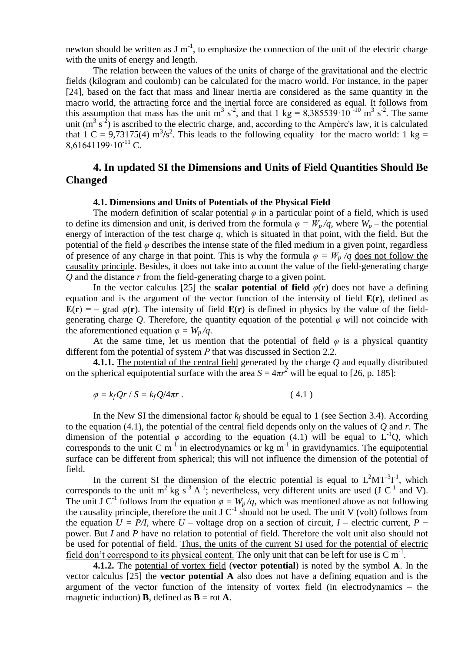newton should be written as  $J m^{-1}$ , to emphasize the connection of the unit of the electric charge with the units of energy and length.

The relation between the values of the units of charge of the gravitational and the electric fields (kilogram and coulomb) can be calculated for the macro world. For instance, in the paper [24], based on the fact that mass and linear inertia are considered as the same quantity in the macro world, the attracting force and the inertial force are considered as equal. It follows from this assumption that mass has the unit m<sup>3</sup> s<sup>-2</sup>, and that 1 kg = 8,385539·10<sup>-10</sup> m<sup>3</sup> s<sup>-2</sup>. The same unit ( $m^3$  s<sup>-2</sup>) is ascribed to the electric charge, and, according to the Ampère's law, it is calculated that 1 C = 9,73175(4)  $\text{m}^3/\text{s}^2$ . This leads to the following equality for the macro world: 1 kg = 8.61641199 $\cdot$ 10<sup>-11</sup> C.

## **4. In updated SI the Dimensions and Units of Field Quantities Should Be Changed**

#### **4.1. Dimensions and Units of Potentials of the Physical Field**

The modern definition of scalar potential  $\varphi$  in a particular point of a field, which is used to define its dimension and unit, is derived from the formula  $\varphi = W_p/q$ , where  $W_p$  – the potential energy of interaction of the test charge *q*, which is situated in that point, with the field. But the potential of the field  $\varphi$  describes the intense state of the filed medium in a given point, regardless of presence of any charge in that point. This is why the formula  $\varphi = W_p / q$  does not follow the causality principle. Besides, it does not take into account the value of the field-generating charge *Q* and the distance *r* from the field-generating charge to a given point.

In the vector calculus [25] the **scalar potential of field**  $\varphi(\mathbf{r})$  does not have a defining equation and is the argument of the vector function of the intensity of field **Е**(**r**), defined as  $E(r) = -$  grad  $\varphi(r)$ . The intensity of field  $E(r)$  is defined in physics by the value of the fieldgenerating charge *Q*. Therefore, the quantity equation of the potential  $\varphi$  will not coincide with the aforementioned equation  $\varphi = W_p/q$ .

At the same time, let us mention that the potential of field  $\varphi$  is a physical quantity different fom the potential of system *P* that was discussed in Section 2.2.

**4.1.1.** The potential of the central field generated by the charge *Q* and equally distributed on the spherical equipotential surface with the area  $S = 4\pi r^2$  will be equal to [26, p. 185]:

$$
\varphi = k_f Qr / S = k_f Q/4\pi r \,. \tag{4.1}
$$

In the New SI the dimensional factor  $k_f$  should be equal to 1 (see Section 3.4). According to the equation (4.1), the potential of the central field depends only on the values of *Q* and *r*. The dimension of the potential  $\varphi$  according to the equation (4.1) will be equal to  $L^{-1}Q$ , which corresponds to the unit C m<sup>-1</sup> in electrodynamics or kg m<sup>-1</sup> in gravidynamics. The equipotential surface can be different from spherical; this will not influence the dimension of the potential of field.

In the current SI the dimension of the electric potential is equal to  $L^2MT^3I^1$ , which corresponds to the unit m<sup>2</sup> kg s<sup>-3</sup> A<sup>-1</sup>; nevertheless, very different units are used (J C<sup>-1</sup> and V). The unit J C<sup>-1</sup> follows from the equation  $\varphi = W_p/q$ , which was mentioned above as not following the causality principle, therefore the unit  $J C^{-1}$  should not be used. The unit V (volt) follows from the equation  $U = P/I$ , where  $U -$  voltage drop on a section of circuit,  $I -$  electric current,  $P$ power. But *I* and *P* have no relation to potential of field. Therefore the volt unit also should not be used for potential of field. Thus, the units of the current SI used for the potential of electric field don't correspond to its physical content. The only unit that can be left for use is  $C m<sup>-1</sup>$ .

**4.1.2.** The potential of vortex field (**vector potential**) is noted by the symbol **А**. In the vector calculus [25] the **vector potential A** also does not have a defining equation and is the argument of the vector function of the intensity of vortex field (in electrodynamics – the magnetic induction) **B**, defined as  $\mathbf{B} = \text{rot } \mathbf{A}$ .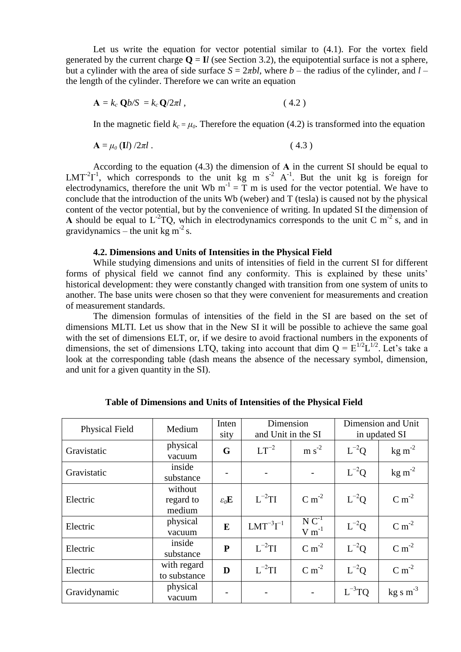Let us write the equation for vector potential similar to (4.1). For the vortex field generated by the current charge  $Q = I$ *l* (see Section 3.2), the equipotential surface is not a sphere, but a cylinder with the area of side surface *S* = 2*πbl*, where *b* – the radius of the cylinder, and *l* – the length of the cylinder. Therefore we can write an equation

$$
\mathbf{A} = k_c \, \mathbf{Q} b / S = k_c \, \mathbf{Q} / 2 \pi l \,, \tag{4.2}
$$

In the magnetic field  $k_c = \mu_0$ . Therefore the equation (4.2) is transformed into the equation

$$
\mathbf{A} = \mu_0 \left( \mathbf{I} l \right) / 2\pi l \tag{4.3}
$$

According to the equation (4.3) the dimension of **А** in the current SI should be equal to  $LMT<sup>2</sup>T<sup>1</sup>$ , which corresponds to the unit kg m s<sup>-2</sup> A<sup>-1</sup>. But the unit kg is foreign for electrodynamics, therefore the unit Wb  $m^{-1} = T m$  is used for the vector potential. We have to conclude that the introduction of the units Wb (weber) and T (tesla) is caused not by the physical content of the vector potential, but by the convenience of writing. In updated SI the dimension of A should be equal to  $L^{-2}TQ$ , which in electrodynamics corresponds to the unit C m<sup>-2</sup> s, and in gravidynamics – the unit kg  $m^{-2}$  s.

#### **4.2. Dimensions and Units of Intensities in the Physical Field**

While studying dimensions and units of intensities of field in the current SI for different forms of physical field we cannot find any conformity. This is explained by these units' historical development: they were constantly changed with transition from one system of units to another. The base units were chosen so that they were convenient for measurements and creation of measurement standards.

The dimension formulas of intensities of the field in the SI are based on the set of dimensions MLTI. Let us show that in the New SI it will be possible to achieve the same goal with the set of dimensions ELT, or, if we desire to avoid fractional numbers in the exponents of dimensions, the set of dimensions LTQ, taking into account that dim  $Q = E^{1/2}L^{1/2}$ . Let's take a look at the corresponding table (dash means the absence of the necessary symbol, dimension, and unit for a given quantity in the SI).

| <b>Physical Field</b> | Medium                         | Inten<br>sity            | Dimension<br>and Unit in the SI |                          | Dimension and Unit<br>in updated SI |                      |
|-----------------------|--------------------------------|--------------------------|---------------------------------|--------------------------|-------------------------------------|----------------------|
| Gravistatic           | physical<br>vacuum             | G                        | $LT^{-2}$                       | $m s-2$                  | $L^{-2}Q$                           | $\text{kg m}^{-2}$   |
| Gravistatic           | inside<br>substance            |                          |                                 |                          | $L^{-2}Q$                           | $\text{kg m}^{-2}$   |
| Electric              | without<br>regard to<br>medium | $\varepsilon_0$ <b>E</b> | $L^{-2}$ TI                     | $C m-2$                  | $L^{-2}Q$                           | $C m-2$              |
| Electric              | physical<br>vacuum             | E                        | $LMT^{-3}T^{-1}$                | $N C^{-1}$<br>$V m^{-1}$ | $L^{-2}Q$                           | $C m-2$              |
| Electric              | inside<br>substance            | $\mathbf{P}$             | $L^{-2}TI$                      | $C m-2$                  | $L^{-2}Q$                           | $C m-2$              |
| Electric              | with regard<br>to substance    | D                        | $L^{-2}$ TI                     | $C m-2$                  | $L^{-2}Q$                           | $C m-2$              |
| Gravidynamic          | physical<br>vacuum             |                          |                                 |                          | $L^{-3}TQ$                          | $\text{kg s m}^{-3}$ |

 **Table of Dimensions and Units of Intensities of the Physical Field**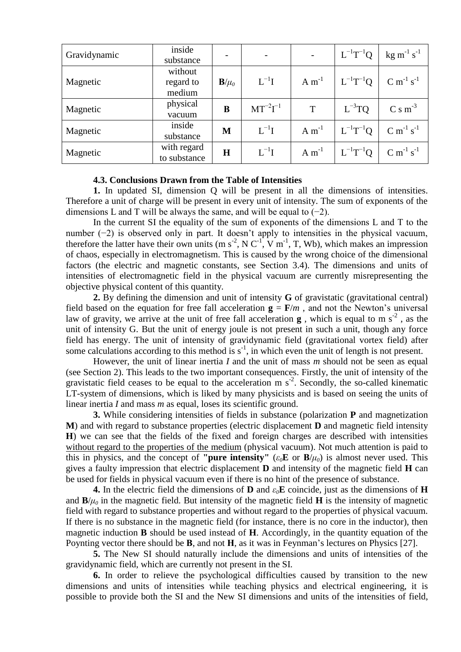| Gravidynamic | inside<br>substance            |                 |                      |            | $L^{-1}T^{-1}Q$ | $\text{kg m}^{-1} \text{ s}^{-1}$ |
|--------------|--------------------------------|-----------------|----------------------|------------|-----------------|-----------------------------------|
| Magnetic     | without<br>regard to<br>medium | ${\bf B}/\mu_0$ | $L^{-1}I$            | $A m^{-1}$ | $L^{-1}T^{-1}Q$ | $C m^{-1} s^{-1}$                 |
| Magnetic     | physical<br>vacuum             | B               | $MT^{-2}\Gamma^{-1}$ | T          | $L^{-3}TQ$      | $C \, \text{s m}^{-3}$            |
| Magnetic     | inside<br>substance            | M               | $L^{-1}I$            | $A m^{-1}$ | $L^{-1}T^{-1}Q$ | $C m^{-1} s^{-1}$                 |
| Magnetic     | with regard<br>to substance    | $\bf H$         | $L^{-1}I$            | $A m^{-1}$ | $L^{-1}T^{-1}Q$ | $C m^{-1} s^{-1}$                 |

#### **4.3. Conclusions Drawn from the Table of Intensities**

**1.** In updated SI, dimension Q will be present in all the dimensions of intensities. Therefore a unit of charge will be present in every unit of intensity. The sum of exponents of the dimensions L and T will be always the same, and will be equal to  $(-2)$ .

In the current SI the equality of the sum of exponents of the dimensions L and T to the number (−2) is observed only in part. It doesn't apply to intensities in the physical vacuum, therefore the latter have their own units (m  $s^2$ , N C<sup>-1</sup>, V m<sup>-1</sup>, T, Wb), which makes an impression of chaos, especially in electromagnetism. This is caused by the wrong choice of the dimensional factors (the electric and magnetic constants, see Section 3.4). The dimensions and units of intensities of electromagnetic field in the physical vacuum are currently misrepresenting the objective physical content of this quantity.

**2.** By defining the dimension and unit of intensity **G** of gravistatic (gravitational central) field based on the equation for free fall acceleration  $g = F/m$ , and not the Newton's universal law of gravity, we arrive at the unit of free fall acceleration  $\bf{g}$ , which is equal to m s<sup>-2</sup>, as the unit of intensity G. But the unit of energy joule is not present in such a unit, though any force field has energy. The unit of intensity of gravidynamic field (gravitational vortex field) after some calculations according to this method is  $s^{-1}$ , in which even the unit of length is not present.

However, the unit of linear inertia *I* and the unit of mass *m* should not be seen as equal (see Section 2). This leads to the two important consequences. Firstly, the unit of intensity of the gravistatic field ceases to be equal to the acceleration m  $s<sup>2</sup>$ . Secondly, the so-called kinematic LT-system of dimensions, which is liked by many physicists and is based on seeing the units of linear inertia *I* and mass *m* as equal, loses its scientific ground.

**3.** While considering intensities of fields in substance (polarization **P** and magnetization **M**) and with regard to substance properties (electric displacement **D** and magnetic field intensity **H**) we can see that the fields of the fixed and foreign charges are described with intensities without regard to the properties of the medium (physical vacuum). Not much attention is paid to this in physics, and the concept of **"pure intensity"** ( $\varepsilon_0$ **E** or **B**/ $\mu$ <sub>0</sub>) is almost never used. This gives a faulty impression that electric displacement **D** and intensity of the magnetic field **H** can be used for fields in physical vacuum even if there is no hint of the presence of substance.

**4.** In the electric field the dimensions of **D** and *ε0***E** coincide, just as the dimensions of **H** and  $\mathbf{B}/\mu_0$  in the magnetic field. But intensity of the magnetic field **H** is the intensity of magnetic field with regard to substance properties and without regard to the properties of physical vacuum. If there is no substance in the magnetic field (for instance, there is no core in the inductor), then magnetic induction **B** should be used instead of **H**. Accordingly, in the quantity equation of the Poynting vector there should be **В**, and not **Н**, as it was in Feynman's lectures on Physics [27].

**5.** The New SI should naturally include the dimensions and units of intensities of the gravidynamic field, which are currently not present in the SI.

**6.** In order to relieve the psychological difficulties caused by transition to the new dimensions and units of intensities while teaching physics and electrical engineering, it is possible to provide both the SI and the New SI dimensions and units of the intensities of field,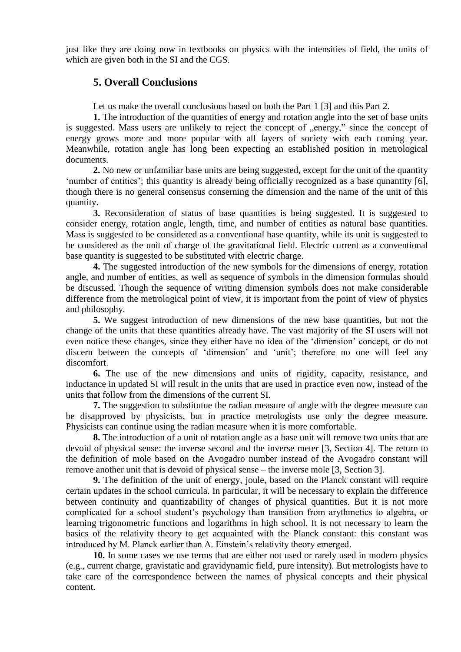just like they are doing now in textbooks on physics with the intensities of field, the units of which are given both in the SI and the CGS.

## **5. Overall Conclusions**

Let us make the overall conclusions based on both the Part 1 [3] and this Part 2.

**1.** The introduction of the quantities of energy and rotation angle into the set of base units is suggested. Mass users are unlikely to reject the concept of "energy," since the concept of energy grows more and more popular with all layers of society with each coming year. Meanwhile, rotation angle has long been expecting an established position in metrological documents.

**2.** No new or unfamiliar base units are being suggested, except for the unit of the quantity 'number of entities'; this quantity is already being officially recognized as a base qunantity [6], though there is no general consensus conserning the dimension and the name of the unit of this quantity.

**3.** Reconsideration of status of base quantities is being suggested. It is suggested to consider energy, rotation angle, length, time, and number of entities as natural base quantities. Mass is suggested to be considered as a conventional base quantity, while its unit is suggested to be considered as the unit of charge of the gravitational field. Electric current as a conventional base quantity is suggested to be substituted with electric charge.

**4.** The suggested introduction of the new symbols for the dimensions of energy, rotation angle, and number of entities, as well as sequence of symbols in the dimension formulas should be discussed. Though the sequence of writing dimension symbols does not make considerable difference from the metrological point of view, it is important from the point of view of physics and philosophy.

**5.** We suggest introduction of new dimensions of the new base quantities, but not the change of the units that these quantities already have. The vast majority of the SI users will not even notice these changes, since they either have no idea of the 'dimension' concept, or do not discern between the concepts of 'dimension' and 'unit'; therefore no one will feel any discomfort.

**6.** The use of the new dimensions and units of rigidity, capacity, resistance, and inductance in updated SI will result in the units that are used in practice even now, instead of the units that follow from the dimensions of the current SI.

**7.** The suggestion to substitutue the radian measure of angle with the degree measure can be disapproved by physicists, but in practice metrologists use only the degree measure. Physicists can continue using the radian measure when it is more comfortable.

**8.** The introduction of a unit of rotation angle as a base unit will remove two units that are devoid of physical sense: the inverse second and the inverse meter [3, Section 4]. The return to the definition of mole based on the Avogadro number instead of the Avogadro constant will remove another unit that is devoid of physical sense – the inverse mole [3, Section 3].

**9.** The definition of the unit of energy, joule, based on the Planck constant will require certain updates in the school curricula. In particular, it will be necessary to explain the difference between continuity and quantizability of changes of physical quantities. But it is not more complicated for a school student's psychology than transition from arythmetics to algebra, or learning trigonometric functions and logarithms in high school. It is not necessary to learn the basics of the relativity theory to get acquainted with the Planck constant: this constant was introduced by M. Planck earlier than A. Einstein's relativity theory emerged.

**10.** In some cases we use terms that are either not used or rarely used in modern physics (e.g., current charge, gravistatic and gravidynamic field, pure intensity). But metrologists have to take care of the correspondence between the names of physical concepts and their physical content.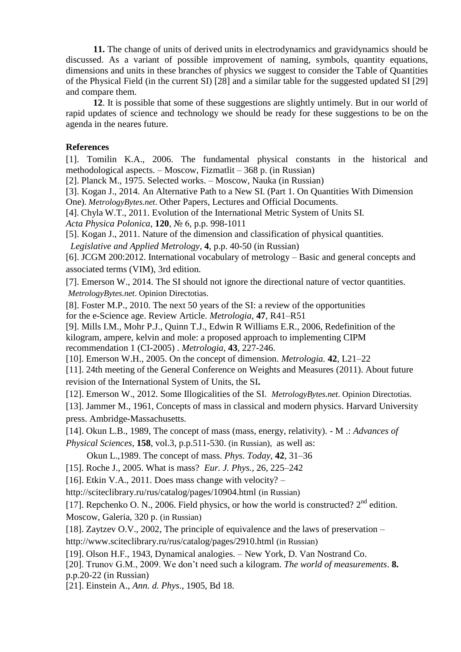**11.** The change of units of derived units in electrodynamics and gravidynamics should be discussed. As a variant of possible improvement of naming, symbols, quantity equations, dimensions and units in these branches of physics we suggest to consider the Table of Quantities of the Physical Field (in the current SI) [28] and a similar table for the suggested updated SI [29] and compare them.

**12**. It is possible that some of these suggestions are slightly untimely. But in our world of rapid updates of science and technology we should be ready for these suggestions to be on the agenda in the neares future.

## **References**

[1]. Tomilin K.A., 2006. The fundamental physical constants in the historical and methodological aspects. – Moscow, Fizmatlit – 368 p. (in Russian)

[2]. Planck M., 1975. Selected works. – Moscow, Nauka (in Russian)

[3]. Kogan J., 2014. An Alternative Path to a New SI. (Part 1. On Quantities With Dimension One). *MetrologyBytes.net*. Other Papers, Lectures and Official Documents.

[4]. Chyla W.T., 2011. Evolution of the International Metric System of Units SI.

*Acta Physica Polonica*, **120**, № 6*,* p.p. 998-1011

[5]. Kogan J., 2011. Nature of the dimension and classification of physical quantities.

*Legislative and Applied Metrology*, **4**, p.p. 40-50 (in Russian)

[6]. JCGM 200:2012. International vocabulary of metrology – Basic and general concepts and associated terms (VIM), 3rd edition.

[7]. Emerson W., 2014. The SI should not ignore the directional nature of vector quantities. *MetrologyBytes.net*. Opinion Directotias.

[8]. Foster M.P., 2010. The next 50 years of the SI: a review of the opportunities for the e-Science age. Review Article. *Metrologia*, **47**, R41–R51

[9]. Mills I.M., Mohr P.J., Quinn T.J., Edwin R Williams E.R., 2006, Redefinition of the kilogram, ampere, kelvin and mole: a proposed approach to implementing CIPM recommendation 1 (CI-2005) . *Metrologia*, **43**, 227-246.

[10]. Emerson W.H., 2005. On the concept of dimension. *Metrologia.* **42**, L21–22

[11]. 24th meeting of the General Conference on Weights and Measures (2011). About future revision of the International System of Units, the SI**.**

[12]. Emerson W., 2012. Some Illogicalities of the SI. *MetrologyBytes.net*. Opinion Directotias.

[13]. Jammer M., 1961, Concepts of mass in classical and modern physics. Harvard University press. Ambridge-Massachusetts.

[14]. Okun L.B., 1989, The concept of mass (mass, energy, relativity). - M .: *Advances of*

*Physical Sciences*, **158**, vol.3, p.p.511-530. (in Russian), as well as:

Okun L.,1989. The concept of mass. *Phys. Today*, **42**, 31–36

[15]. Roche J., 2005. What is mass? *Eur. J. Phys.,* 26, 225–242

[16]. Etkin V.A., 2011. Does mass change with velocity?  $-$ 

http://sciteclibrary.ru/rus/catalog/pages/10904.html (in Russian)

[17]. Repchenko O. N., 2006. Field physics, or how the world is constructed?  $2<sup>nd</sup>$  edition. Moscow, Galeria, 320 p. (in Russian)

[18]. Zaytzev O.V., 2002, The principle of equivalence and the laws of preservation –

http://www.sciteclibrary.ru/rus/catalog/pages/2910.html (in Russian)

[19]. Olson H.F., 1943, Dynamical analogies. – New York, D. Van Nostrand Co.

[20]. Trunov G.M., 2009. We don't need such a kilogram. *The world of measurements*. **8.** p.р.20-22 (in Russian)

[21]. Einstein A., *Ann. d. Phys*., 1905, Bd 18.